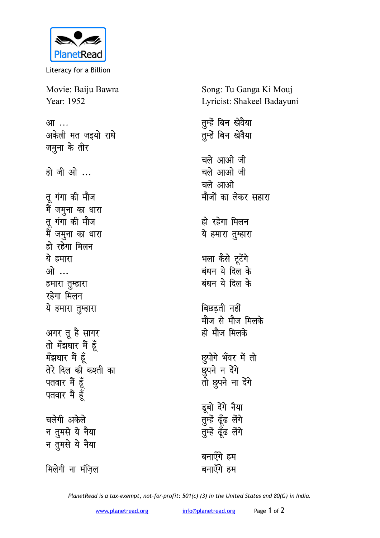

Literacy for a Billion

Movie: Baiju Bawra Year: 1952

<u>आ</u>… अकेली मत जइयो राधे जमुना के तीर हो जी ओ ...

तू गंगा की मौज मैं जमुना का धारा तू गंगा की मौज मैं जमुना का धारा हो रहेगा मिलन ये हमारा <u>ओ …</u> हमारा तुम्हारा **रहेगा** मिलन <u>ये हमारा तुम्हारा</u> अगर तू है सागर **तो** मँझधार मैं हूँ मॅझधार मैं हूँ तेरे दिल की कश्ती का पतवार मैं हूँ पतवार मैं हूँ चलेगी अकेले न तुमसे ये नैया

<u>न त</u>ुमसे ये नैया

मिलेगी ना मंज़िल

Song: Tu Ganga Ki Mouj Lyricist: Shakeel Badayuni

तुम्हें बिन खेवैया <u>त</u>ुम्हें बिन खेवैया चले आओ जी **चले आओ जी** <u>चले आओ</u> मौजों का लेकर सहारा हो रहेगा मिल**न** ये हमारा तुम्हारा **भला कैसे टूटेंगे** .<br>बंधन ये दिल के **बंधन ये दिल के** बिछडती नहीं <u>मौज से मौज मिलके</u> हो मौज मिलके *छुपोगे भँवर में तो* ष्ठुपने न देंगे तो छूपने ना देंगे डूबो देंगे **नैया** तुम्हें ढूँढ लेंगे तुम्हें ढूँढ लेंगे बनाएँगे हम बनाएँगे हम

*PlanetRead is a tax-exempt, not-for-profit: 501(c) (3) in the United States and 80(G) in India.*